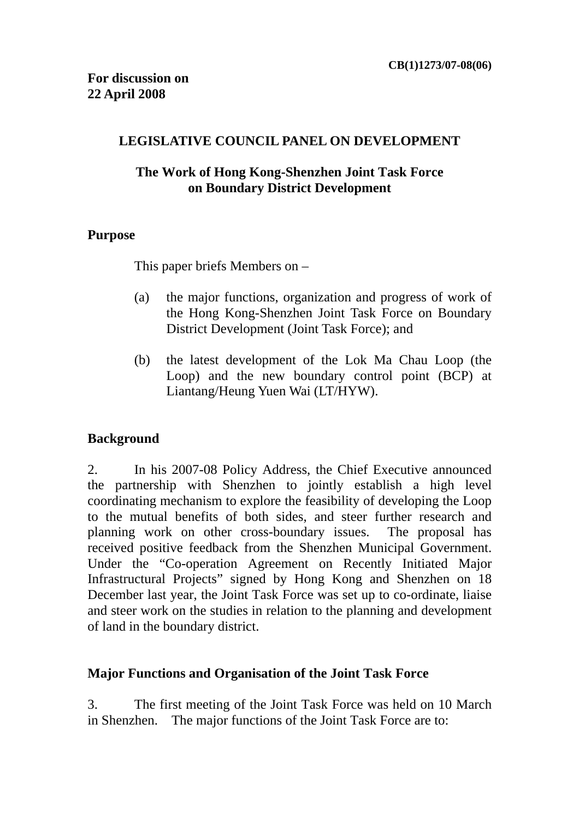#### **LEGISLATIVE COUNCIL PANEL ON DEVELOPMENT**

### **The Work of Hong Kong-Shenzhen Joint Task Force on Boundary District Development**

### **Purpose**

This paper briefs Members on –

- (a) the major functions, organization and progress of work of the Hong Kong-Shenzhen Joint Task Force on Boundary District Development (Joint Task Force); and
- (b) the latest development of the Lok Ma Chau Loop (the Loop) and the new boundary control point (BCP) at Liantang/Heung Yuen Wai (LT/HYW).

# **Background**

2. In his 2007-08 Policy Address, the Chief Executive announced the partnership with Shenzhen to jointly establish a high level coordinating mechanism to explore the feasibility of developing the Loop to the mutual benefits of both sides, and steer further research and planning work on other cross-boundary issues. The proposal has received positive feedback from the Shenzhen Municipal Government. Under the "Co-operation Agreement on Recently Initiated Major Infrastructural Projects" signed by Hong Kong and Shenzhen on 18 December last year, the Joint Task Force was set up to co-ordinate, liaise and steer work on the studies in relation to the planning and development of land in the boundary district.

#### **Major Functions and Organisation of the Joint Task Force**

3. The first meeting of the Joint Task Force was held on 10 March in Shenzhen. The major functions of the Joint Task Force are to: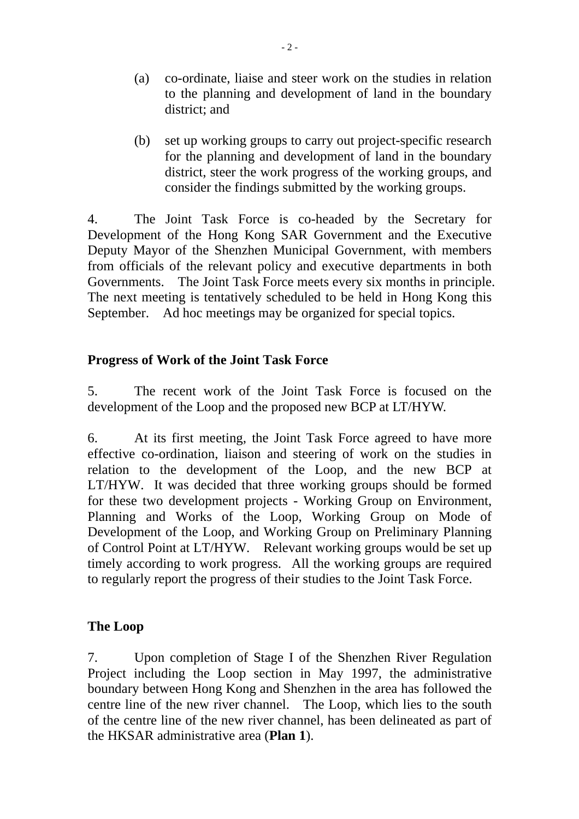- (a) co-ordinate, liaise and steer work on the studies in relation to the planning and development of land in the boundary district; and
- (b) set up working groups to carry out project-specific research for the planning and development of land in the boundary district, steer the work progress of the working groups, and consider the findings submitted by the working groups.

4. The Joint Task Force is co-headed by the Secretary for Development of the Hong Kong SAR Government and the Executive Deputy Mayor of the Shenzhen Municipal Government, with members from officials of the relevant policy and executive departments in both Governments. The Joint Task Force meets every six months in principle. The next meeting is tentatively scheduled to be held in Hong Kong this September. Ad hoc meetings may be organized for special topics.

# **Progress of Work of the Joint Task Force**

5. The recent work of the Joint Task Force is focused on the development of the Loop and the proposed new BCP at LT/HYW.

6. At its first meeting, the Joint Task Force agreed to have more effective co-ordination, liaison and steering of work on the studies in relation to the development of the Loop, and the new BCP at LT/HYW. It was decided that three working groups should be formed for these two development projects - Working Group on Environment, Planning and Works of the Loop, Working Group on Mode of Development of the Loop, and Working Group on Preliminary Planning of Control Point at LT/HYW. Relevant working groups would be set up timely according to work progress. All the working groups are required to regularly report the progress of their studies to the Joint Task Force.

# **The Loop**

7. Upon completion of Stage I of the Shenzhen River Regulation Project including the Loop section in May 1997, the administrative boundary between Hong Kong and Shenzhen in the area has followed the centre line of the new river channel. The Loop, which lies to the south of the centre line of the new river channel, has been delineated as part of the HKSAR administrative area (**Plan 1**).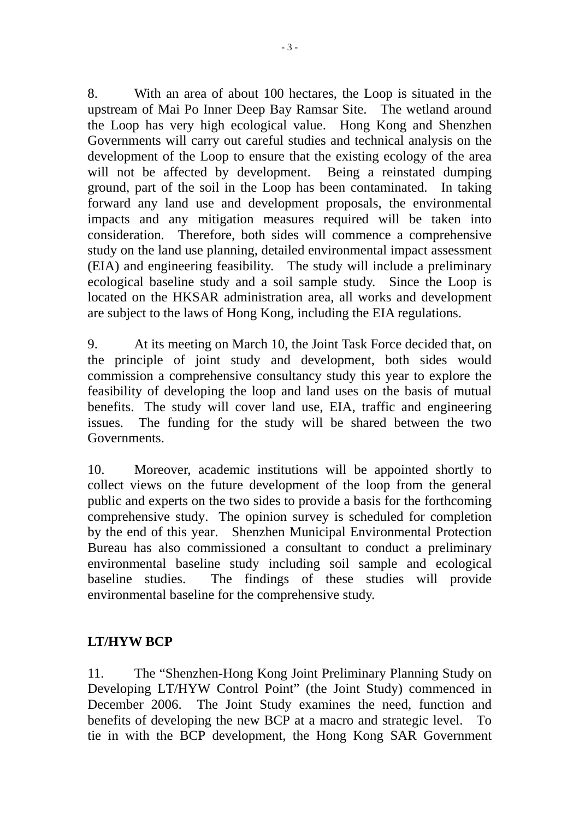8. With an area of about 100 hectares, the Loop is situated in the upstream of Mai Po Inner Deep Bay Ramsar Site. The wetland around the Loop has very high ecological value. Hong Kong and Shenzhen Governments will carry out careful studies and technical analysis on the development of the Loop to ensure that the existing ecology of the area will not be affected by development. Being a reinstated dumping ground, part of the soil in the Loop has been contaminated. In taking forward any land use and development proposals, the environmental impacts and any mitigation measures required will be taken into consideration. Therefore, both sides will commence a comprehensive study on the land use planning, detailed environmental impact assessment (EIA) and engineering feasibility. The study will include a preliminary ecological baseline study and a soil sample study. Since the Loop is located on the HKSAR administration area, all works and development are subject to the laws of Hong Kong, including the EIA regulations.

9. At its meeting on March 10, the Joint Task Force decided that, on the principle of joint study and development, both sides would commission a comprehensive consultancy study this year to explore the feasibility of developing the loop and land uses on the basis of mutual benefits. The study will cover land use, EIA, traffic and engineering issues. The funding for the study will be shared between the two Governments.

10. Moreover, academic institutions will be appointed shortly to collect views on the future development of the loop from the general public and experts on the two sides to provide a basis for the forthcoming comprehensive study. The opinion survey is scheduled for completion by the end of this year. Shenzhen Municipal Environmental Protection Bureau has also commissioned a consultant to conduct a preliminary environmental baseline study including soil sample and ecological baseline studies. The findings of these studies will provide environmental baseline for the comprehensive study.

# **LT/HYW BCP**

11. The "Shenzhen-Hong Kong Joint Preliminary Planning Study on Developing LT/HYW Control Point" (the Joint Study) commenced in December 2006. The Joint Study examines the need, function and benefits of developing the new BCP at a macro and strategic level. To tie in with the BCP development, the Hong Kong SAR Government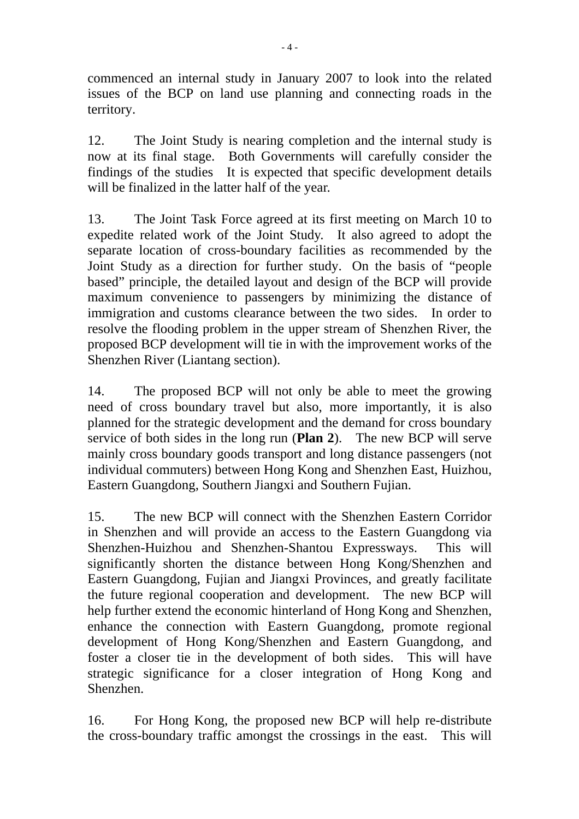commenced an internal study in January 2007 to look into the related issues of the BCP on land use planning and connecting roads in the territory.

12. The Joint Study is nearing completion and the internal study is now at its final stage. Both Governments will carefully consider the findings of the studies It is expected that specific development details will be finalized in the latter half of the year.

13. The Joint Task Force agreed at its first meeting on March 10 to expedite related work of the Joint Study. It also agreed to adopt the separate location of cross-boundary facilities as recommended by the Joint Study as a direction for further study. On the basis of "people based" principle, the detailed layout and design of the BCP will provide maximum convenience to passengers by minimizing the distance of immigration and customs clearance between the two sides. In order to resolve the flooding problem in the upper stream of Shenzhen River, the proposed BCP development will tie in with the improvement works of the Shenzhen River (Liantang section).

14. The proposed BCP will not only be able to meet the growing need of cross boundary travel but also, more importantly, it is also planned for the strategic development and the demand for cross boundary service of both sides in the long run (**Plan 2**). The new BCP will serve mainly cross boundary goods transport and long distance passengers (not individual commuters) between Hong Kong and Shenzhen East, Huizhou, Eastern Guangdong, Southern Jiangxi and Southern Fujian.

15. The new BCP will connect with the Shenzhen Eastern Corridor in Shenzhen and will provide an access to the Eastern Guangdong via Shenzhen-Huizhou and Shenzhen-Shantou Expressways. This will significantly shorten the distance between Hong Kong/Shenzhen and Eastern Guangdong, Fujian and Jiangxi Provinces, and greatly facilitate the future regional cooperation and development. The new BCP will help further extend the economic hinterland of Hong Kong and Shenzhen, enhance the connection with Eastern Guangdong, promote regional development of Hong Kong/Shenzhen and Eastern Guangdong, and foster a closer tie in the development of both sides. This will have strategic significance for a closer integration of Hong Kong and Shenzhen.

16. For Hong Kong, the proposed new BCP will help re-distribute the cross-boundary traffic amongst the crossings in the east. This will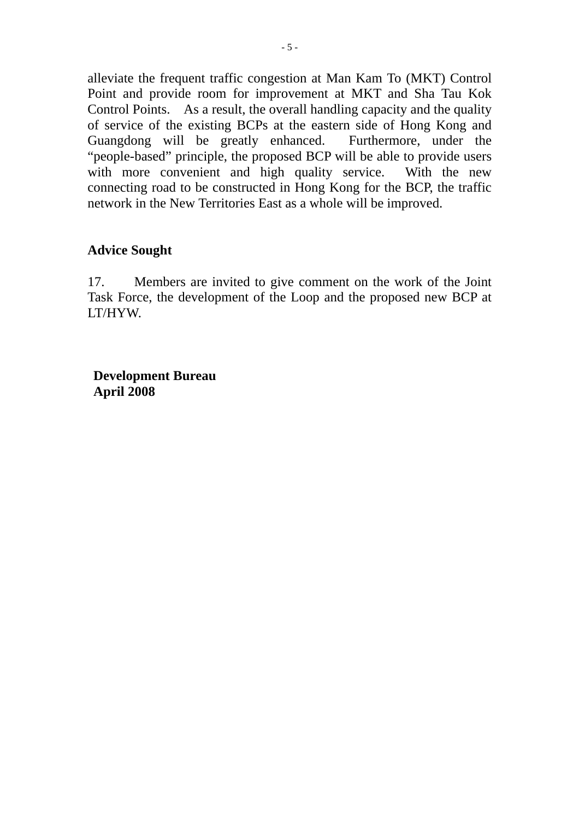alleviate the frequent traffic congestion at Man Kam To (MKT) Control Point and provide room for improvement at MKT and Sha Tau Kok Control Points. As a result, the overall handling capacity and the quality of service of the existing BCPs at the eastern side of Hong Kong and Guangdong will be greatly enhanced. Furthermore, under the "people-based" principle, the proposed BCP will be able to provide users with more convenient and high quality service. With the new connecting road to be constructed in Hong Kong for the BCP, the traffic network in the New Territories East as a whole will be improved.

### **Advice Sought**

17. Members are invited to give comment on the work of the Joint Task Force, the development of the Loop and the proposed new BCP at LT/HYW.

**Development Bureau April 2008**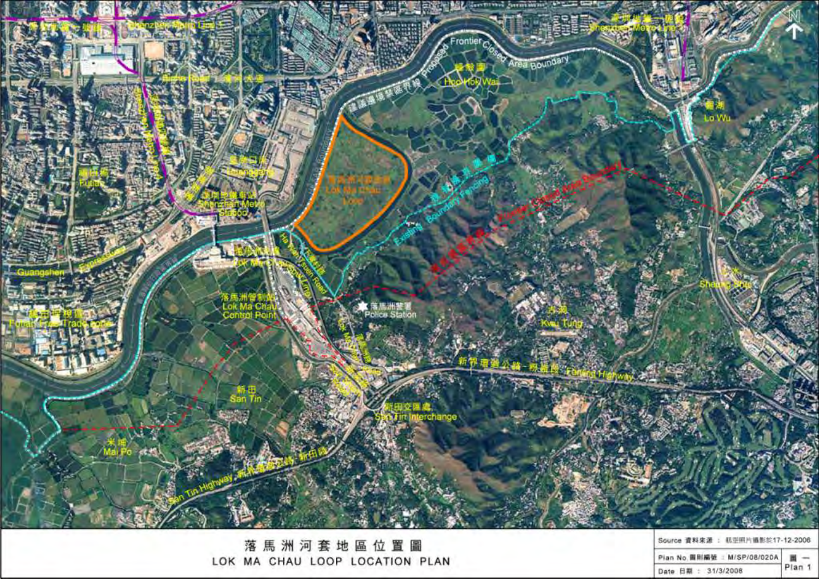

落馬洲河套地區位置圖 LOK MA CHAU LOOP LOCATION PLAN Source 資料來源 : 航空照片循影於17-12-2006

|  |  |                    | Pian No. 圖則編號 : M/SP/08/020A 图 - |      |
|--|--|--------------------|----------------------------------|------|
|  |  | Date 日期: 31/3/2008 |                                  | Plan |